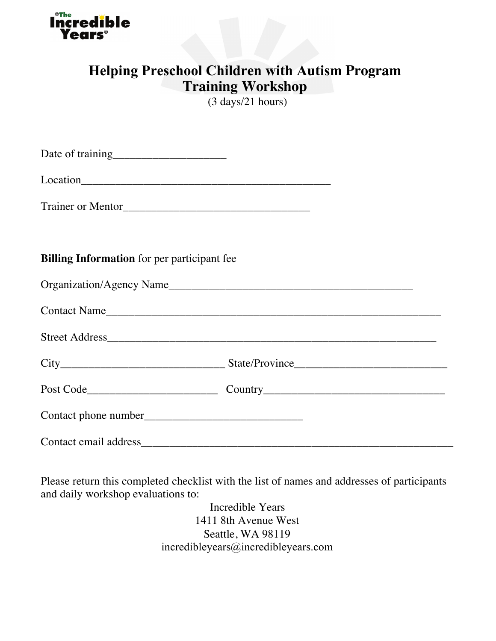

# **Helping Preschool Children with Autism Program Training Workshop**

(3 days/21 hours)

| <b>Billing Information</b> for per participant fee |  |
|----------------------------------------------------|--|
|                                                    |  |
| Contact Name                                       |  |
| Street Address                                     |  |
|                                                    |  |
|                                                    |  |
|                                                    |  |
|                                                    |  |

Please return this completed checklist with the list of names and addresses of participants and daily workshop evaluations to:

> Incredible Years 1411 8th Avenue West Seattle, WA 98119 incredibleyears@incredibleyears.com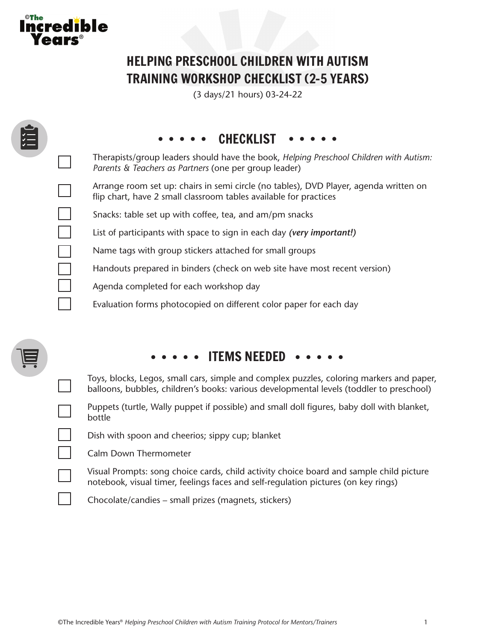

 $\mathcal{L}$ 

# HELPING PRESCHOOL CHILDREN WITH AUTISM TRAINING WORKSHOP CHECKLIST (2-5 YEARS)

(3 days/21 hours) 03-24-22

|  | • • CHECKLIST                                                                                                                                                                        |
|--|--------------------------------------------------------------------------------------------------------------------------------------------------------------------------------------|
|  | Therapists/group leaders should have the book, Helping Preschool Children with Autism:<br>Parents & Teachers as Partners (one per group leader)                                      |
|  | Arrange room set up: chairs in semi circle (no tables), DVD Player, agenda written on<br>flip chart, have 2 small classroom tables available for practices                           |
|  | Snacks: table set up with coffee, tea, and am/pm snacks                                                                                                                              |
|  | List of participants with space to sign in each day (very important!)                                                                                                                |
|  | Name tags with group stickers attached for small groups                                                                                                                              |
|  | Handouts prepared in binders (check on web site have most recent version)                                                                                                            |
|  | Agenda completed for each workshop day                                                                                                                                               |
|  | Evaluation forms photocopied on different color paper for each day                                                                                                                   |
|  |                                                                                                                                                                                      |
|  | • • ITEMS NEEDED • •                                                                                                                                                                 |
|  | Toys, blocks, Legos, small cars, simple and complex puzzles, coloring markers and paper,<br>balloons, bubbles, children's books: various developmental levels (toddler to preschool) |
|  | Puppets (turtle, Wally puppet if possible) and small doll figures, baby doll with blanket,<br>bottle                                                                                 |
|  | Dish with spoon and cheerios; sippy cup; blanket                                                                                                                                     |
|  | Calm Down Thermometer                                                                                                                                                                |
|  | Visual Prompts: song choice cards, child activity choice board and sample child picture<br>notebook, visual timer, feelings faces and self-regulation pictures (on key rings)        |

Chocolate/candies – small prizes (magnets, stickers)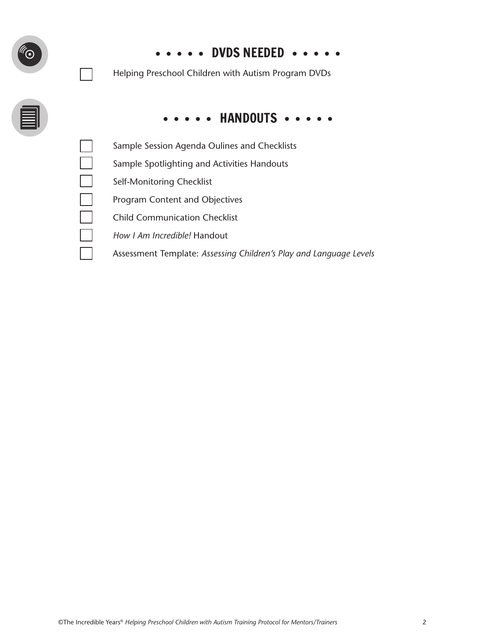| ( • | $\cdots$ $\cdots$ DVDS NEEDED $\cdots$<br>Helping Preschool Children with Autism Program DVDs |
|-----|-----------------------------------------------------------------------------------------------|
|     | HANDOUTS                                                                                      |
|     | Sample Session Agenda Oulines and Checklists                                                  |
|     | Sample Spotlighting and Activities Handouts                                                   |
|     | Self-Monitoring Checklist                                                                     |
|     | Program Content and Objectives                                                                |
|     | <b>Child Communication Checklist</b>                                                          |
|     | How I Am Incredible! Handout                                                                  |
|     | Assessment Template: Assessing Children's Play and Language Levels                            |

 $\overline{\phantom{a}}$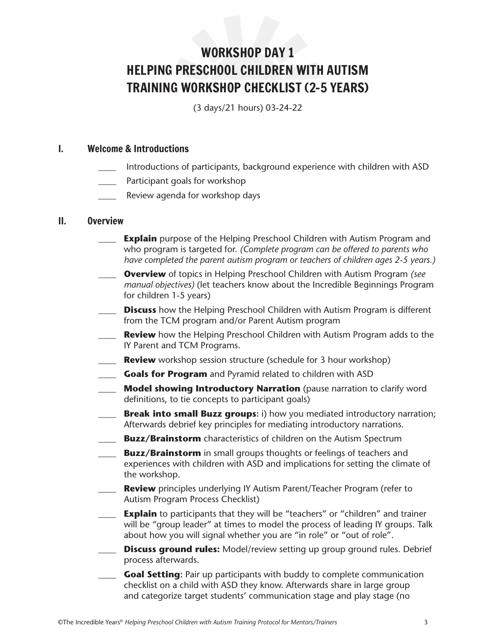# WORKSHOP DAY 1 HELPING PRESCHOOL CHILDREN WITH AUTISM TRAINING WORKSHOP CHECKLIST (2-5 YEARS)

(3 days/21 hours) 03-24-22

### I. Welcome & Introductions

- Introductions of participants, background experience with children with ASD
- Participant goals for workshop
- Review agenda for workshop days

#### II. Overview

- **Explain** purpose of the Helping Preschool Children with Autism Program and who program is targeted for. *(Complete program can be offered to parents who have completed the parent autism program or teachers of children ages 2-5 years.)*
- \_\_\_\_ **Overview** of topics in Helping Preschool Children with Autism Program *(see manual objectives)* (let teachers know about the Incredible Beginnings Program for children 1-5 years)
- **Discuss** how the Helping Preschool Children with Autism Program is different from the TCM program and/or Parent Autism program
- **Review** how the Helping Preschool Children with Autism Program adds to the IY Parent and TCM Programs.
- \_\_\_\_ **Review** workshop session structure (schedule for 3 hour workshop)
- \_\_\_\_ **Goals for Program** and Pyramid related to children with ASD
- \_\_\_\_ **Model showing Introductory Narration** (pause narration to clarify word definitions, to tie concepts to participant goals)
- **Example 20 Break into small Buzz groups:** i) how you mediated introductory narration; Afterwards debrief key principles for mediating introductory narrations.
- **Buzz/Brainstorm** characteristics of children on the Autism Spectrum
- \_\_\_\_ **Buzz/Brainstorm** in small groups thoughts or feelings of teachers and experiences with children with ASD and implications for setting the climate of the workshop.
- \_\_\_\_ **Review** principles underlying IY Autism Parent/Teacher Program (refer to Autism Program Process Checklist)
- **Explain** to participants that they will be "teachers" or "children" and trainer will be "group leader" at times to model the process of leading IY groups. Talk about how you will signal whether you are "in role" or "out of role".
- **Discuss ground rules:** Model/review setting up group ground rules. Debrief process afterwards.
- \_\_\_\_ **Goal Setting:** Pair up participants with buddy to complete communication checklist on a child with ASD they know. Afterwards share in large group and categorize target students' communication stage and play stage (no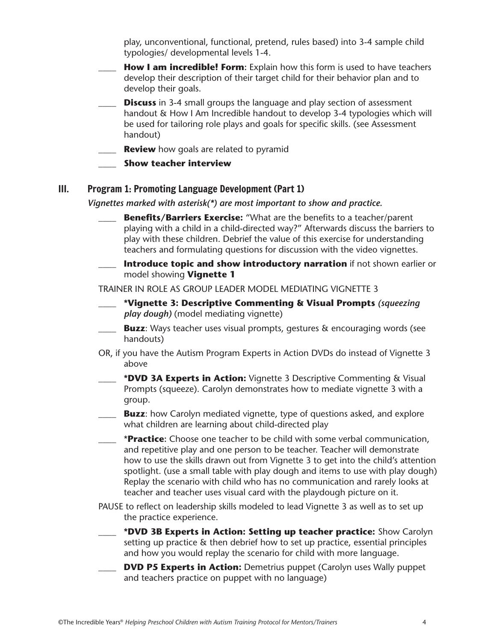play, unconventional, functional, pretend, rules based) into 3-4 sample child typologies/ developmental levels 1-4.

- **How I am incredible! Form:** Explain how this form is used to have teachers develop their description of their target child for their behavior plan and to develop their goals.
- **Discuss** in 3-4 small groups the language and play section of assessment handout & How I Am Incredible handout to develop 3-4 typologies which will be used for tailoring role plays and goals for specific skills. (see Assessment handout)
- **Review** how goals are related to pyramid
- \_\_\_\_ **Show teacher interview**

## III. Program 1: Promoting Language Development (Part 1)

*Vignettes marked with asterisk(\*) are most important to show and practice.*

- **Benefits/Barriers Exercise:** "What are the benefits to a teacher/parent playing with a child in a child-directed way?" Afterwards discuss the barriers to play with these children. Debrief the value of this exercise for understanding teachers and formulating questions for discussion with the video vignettes.
- **Introduce topic and show introductory narration** if not shown earlier or model showing **Vignette 1**

TRAINER IN ROLE AS GROUP LEADER MODEL MEDIATING VIGNETTE 3

- \_\_\_\_ **\*Vignette 3: Descriptive Commenting & Visual Prompts** *(squeezing play dough)* (model mediating vignette)
- **Buzz:** Ways teacher uses visual prompts, gestures & encouraging words (see handouts)
- OR, if you have the Autism Program Experts in Action DVDs do instead of Vignette 3 above
- \_\_\_\_ **\*DVD 3A Experts in Action:** Vignette 3 Descriptive Commenting & Visual Prompts (squeeze). Carolyn demonstrates how to mediate vignette 3 with a group.
- **Buzz**: how Carolyn mediated vignette, type of questions asked, and explore what children are learning about child-directed play
- \_\_\_\_ \***Practice:** Choose one teacher to be child with some verbal communication, and repetitive play and one person to be teacher. Teacher will demonstrate how to use the skills drawn out from Vignette 3 to get into the child's attention spotlight. (use a small table with play dough and items to use with play dough) Replay the scenario with child who has no communication and rarely looks at teacher and teacher uses visual card with the playdough picture on it.
- PAUSE to reflect on leadership skills modeled to lead Vignette 3 as well as to set up the practice experience.
- \_\_\_\_ **\*DVD 3B Experts in Action: Setting up teacher practice:** Show Carolyn setting up practice & then debrief how to set up practice, essential principles and how you would replay the scenario for child with more language.
- **DVD P5 Experts in Action:** Demetrius puppet (Carolyn uses Wally puppet) and teachers practice on puppet with no language)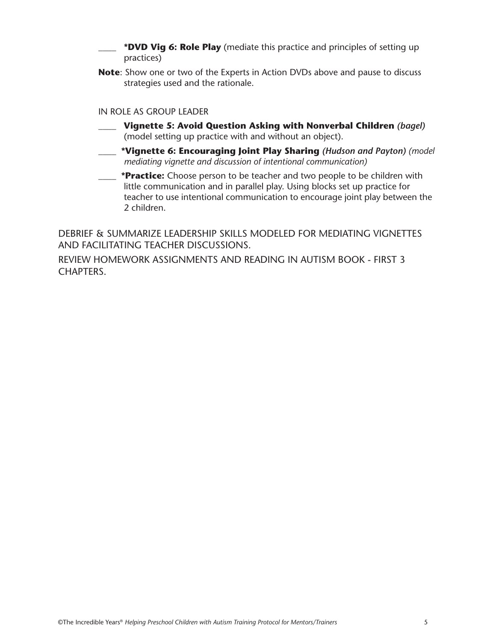- \*DVD Vig 6: Role Play (mediate this practice and principles of setting up practices)
- **Note**: Show one or two of the Experts in Action DVDs above and pause to discuss strategies used and the rationale.

#### IN ROLE AS GROUP LEADER

- \_\_\_\_ **Vignette 5: Avoid Question Asking with Nonverbal Children** *(bagel)* (model setting up practice with and without an object).
- \_\_\_\_ **\*Vignette 6: Encouraging Joint Play Sharing** *(Hudson and Payton) (model mediating vignette and discussion of intentional communication)*
- \_\_\_\_ **\*Practice:** Choose person to be teacher and two people to be children with little communication and in parallel play. Using blocks set up practice for teacher to use intentional communication to encourage joint play between the 2 children.

DEBRIEF & SUMMARIZE LEADERSHIP SKILLS MODELED FOR MEDIATING VIGNETTES AND FACILITATING TEACHER DISCUSSIONS.

REVIEW HOMEWORK ASSIGNMENTS AND READING IN AUTISM BOOK - FIRST 3 CHAPTERS.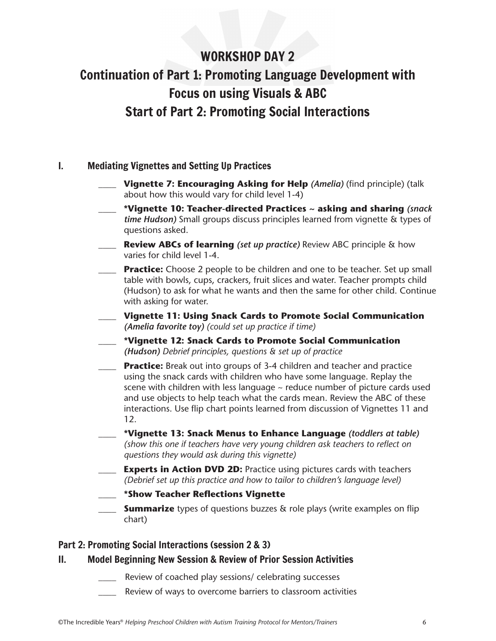# WORKSHOP DAY 2 Continuation of Part 1: Promoting Language Development with Focus on using Visuals & ABC Start of Part 2: Promoting Social Interactions

# I. Mediating Vignettes and Setting Up Practices

- \_\_\_\_ **Vignette 7: Encouraging Asking for Help** *(Amelia)* (find principle) (talk about how this would vary for child level 1-4)
- \_\_\_\_ **\*Vignette 10: Teacher-directed Practices ~ asking and sharing** *(snack time Hudson)* Small groups discuss principles learned from vignette & types of questions asked.
- \_\_\_\_ **Review ABCs of learning** *(set up practice)* Review ABC principle & how varies for child level 1-4.
- \_\_\_\_ **Practice:** Choose 2 people to be children and one to be teacher. Set up small table with bowls, cups, crackers, fruit slices and water. Teacher prompts child (Hudson) to ask for what he wants and then the same for other child. Continue with asking for water.
- \_\_\_\_ **Vignette 11: Using Snack Cards to Promote Social Communication** *(Amelia favorite toy) (could set up practice if time)*
- \_\_\_\_ **\*Vignette 12: Snack Cards to Promote Social Communication** *(Hudson) Debrief principles, questions & set up of practice*
- **Practice:** Break out into groups of 3-4 children and teacher and practice using the snack cards with children who have some language. Replay the scene with children with less language  $\sim$  reduce number of picture cards used and use objects to help teach what the cards mean. Review the ABC of these interactions. Use flip chart points learned from discussion of Vignettes 11 and 12.
- \_\_\_\_ **\*Vignette 13: Snack Menus to Enhance Language** *(toddlers at table) (show this one if teachers have very young children ask teachers to reflect on questions they would ask during this vignette)*
- **Experts in Action DVD 2D:** Practice using pictures cards with teachers *(Debrief set up this practice and how to tailor to children's language level)*
- \_\_\_\_ **\*Show Teacher Reflections Vignette**
- **Summarize** types of questions buzzes & role plays (write examples on flip chart)

## Part 2: Promoting Social Interactions (session 2 & 3)

## II. Model Beginning New Session & Review of Prior Session Activities

- Review of coached play sessions/ celebrating successes
- Review of ways to overcome barriers to classroom activities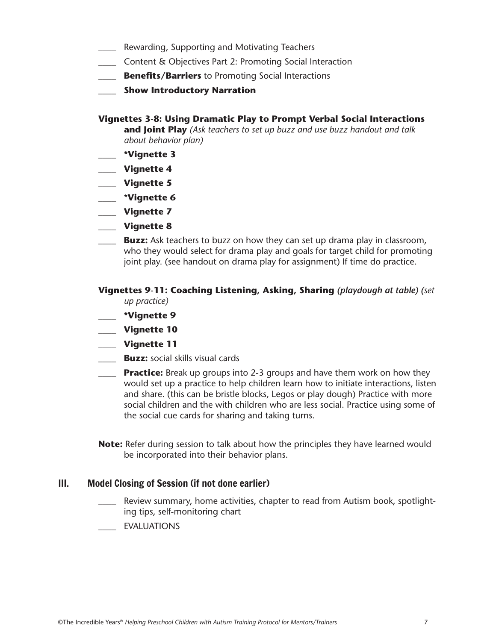- Rewarding, Supporting and Motivating Teachers
- \_\_\_\_ Content & Objectives Part 2: Promoting Social Interaction
- \_\_\_\_ **Benefits/Barriers** to Promoting Social Interactions
- \_\_\_\_ **Show Introductory Narration**

#### **Vignettes 3-8: Using Dramatic Play to Prompt Verbal Social Interactions**

**and Joint Play** *(Ask teachers to set up buzz and use buzz handout and talk about behavior plan)*

- \_\_\_\_ **\*Vignette 3**
- \_\_\_\_ **Vignette 4**
- \_\_\_\_ **Vignette 5**
- \_\_\_\_ \***Vignette 6**
- \_\_\_\_ **Vignette 7**
- \_\_\_\_ **Vignette 8**
- **Buzz:** Ask teachers to buzz on how they can set up drama play in classroom, who they would select for drama play and goals for target child for promoting joint play. (see handout on drama play for assignment) If time do practice.

#### **Vignettes 9-11: Coaching Listening, Asking, Sharing** *(playdough at table) (set up practice)*

- \_\_\_\_ **\*Vignette 9**
- \_\_\_\_ **Vignette 10**
- \_\_\_\_ **Vignette 11**
- **Buzz:** social skills visual cards
- \_\_\_\_ **Practice:** Break up groups into 2-3 groups and have them work on how they would set up a practice to help children learn how to initiate interactions, listen and share. (this can be bristle blocks, Legos or play dough) Practice with more social children and the with children who are less social. Practice using some of the social cue cards for sharing and taking turns.
- **Note:** Refer during session to talk about how the principles they have learned would be incorporated into their behavior plans.

#### III. Model Closing of Session (if not done earlier)

- Review summary, home activities, chapter to read from Autism book, spotlighting tips, self-monitoring chart
- \_\_\_\_ EVALUATIONS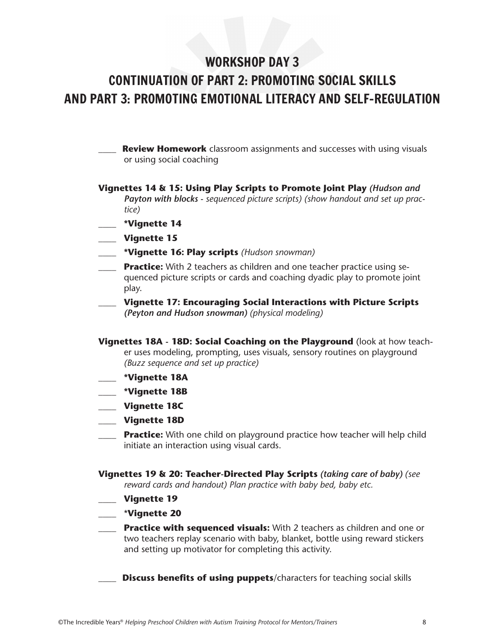# WORKSHOP DAY 3

# CONTINUATION OF PART 2: PROMOTING SOCIAL SKILLS AND PART 3: PROMOTING EMOTIONAL LITERACY AND SELF-REGULATION

**Review Homework** classroom assignments and successes with using visuals or using social coaching

- **Vignettes 14 & 15: Using Play Scripts to Promote Joint Play** *(Hudson and Payton with blocks - sequenced picture scripts) (show handout and set up practice)*
	- \_\_\_\_ **\*Vignette 14**
- \_\_\_\_ **Vignette 15**
- \_\_\_\_ **\*Vignette 16: Play scripts** *(Hudson snowman)*
- \_\_\_\_ **Practice:** With 2 teachers as children and one teacher practice using sequenced picture scripts or cards and coaching dyadic play to promote joint play.
- \_\_\_\_ **Vignette 17: Encouraging Social Interactions with Picture Scripts**  *(Peyton and Hudson snowman) (physical modeling)*
- **Vignettes 18A 18D: Social Coaching on the Playground** (look at how teacher uses modeling, prompting, uses visuals, sensory routines on playground *(Buzz sequence and set up practice)*
- \_\_\_\_ **\*Vignette 18A**
- \_\_\_\_ **\*Vignette 18B**
- \_\_\_\_ **Vignette 18C**
- \_\_\_\_ **Vignette 18D**
- \_\_\_\_ **Practice:** With one child on playground practice how teacher will help child initiate an interaction using visual cards.
- **Vignettes 19 & 20: Teacher-Directed Play Scripts** *(taking care of baby) (see reward cards and handout) Plan practice with baby bed, baby etc.*
- \_\_\_\_ **Vignette 19**
- \_\_\_\_ \***Vignette 20**
- \_\_\_\_ **Practice with sequenced visuals:** With 2 teachers as children and one or two teachers replay scenario with baby, blanket, bottle using reward stickers and setting up motivator for completing this activity.
	- **Discuss benefits of using puppets/characters for teaching social skills**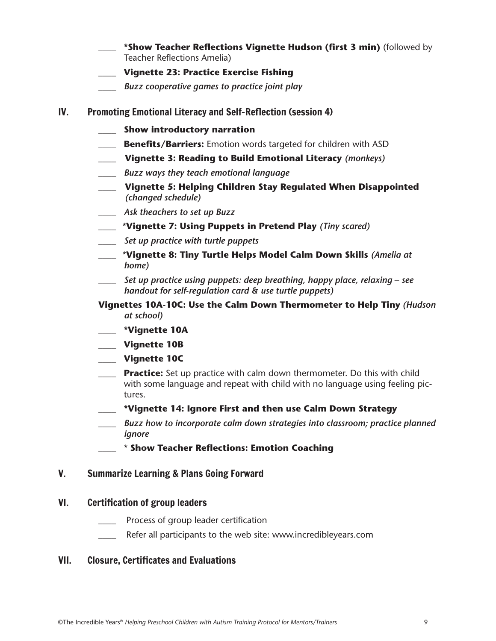- \_\_\_\_ **\*Show Teacher Reflections Vignette Hudson (first 3 min)** (followed by Teacher Reflections Amelia)
- \_\_\_\_ **Vignette 23: Practice Exercise Fishing**
- \_\_\_\_ *Buzz cooperative games to practice joint play*
- IV. Promoting Emotional Literacy and Self-Reflection (session 4)
	- \_\_\_\_ **Show introductory narration**
	- **Benefits/Barriers:** Emotion words targeted for children with ASD
	- \_\_\_\_ **Vignette 3: Reading to Build Emotional Literacy** *(monkeys)*
	- \_\_\_\_ *Buzz ways they teach emotional language*
	- \_\_\_\_ **Vignette 5: Helping Children Stay Regulated When Disappointed**  *(changed schedule)*
	- \_\_\_\_ *Ask theachers to set up Buzz*
	- \_\_\_\_ \***Vignette 7: Using Puppets in Pretend Play** *(Tiny scared)*
	- \_\_\_\_ *Set up practice with turtle puppets*
	- \_\_\_\_ \***Vignette 8: Tiny Turtle Helps Model Calm Down Skills** *(Amelia at home)*
	- \_\_\_\_ *Set up practice using puppets: deep breathing, happy place, relaxing see handout for self-regulation card & use turtle puppets)*
	- **Vignettes 10A-10C: Use the Calm Down Thermometer to Help Tiny** *(Hudson at school)*
		- \_\_\_\_ **\*Vignette 10A**
	- \_\_\_\_ **Vignette 10B**
	- \_\_\_\_ **Vignette 10C**
	- \_\_\_\_ **Practice:** Set up practice with calm down thermometer. Do this with child with some language and repeat with child with no language using feeling pictures.
	- \_\_\_\_ **\*Vignette 14: Ignore First and then use Calm Down Strategy**
	- \_\_\_\_ *Buzz how to incorporate calm down strategies into classroom; practice planned ignore*
	- \_\_\_\_ \* **Show Teacher Reflections: Emotion Coaching**

## V. Summarize Learning & Plans Going Forward

#### VI. Certification of group leaders

- Process of group leader certification
- Refer all participants to the web site: www.incredibleyears.com

## VII. Closure, Certificates and Evaluations